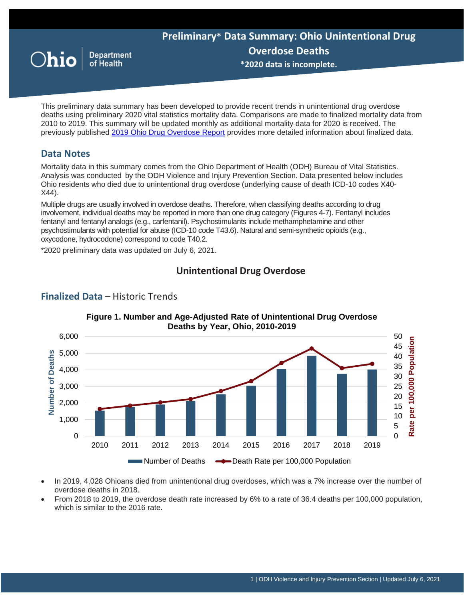

This preliminary data summary has been developed to provide recent trends in unintentional drug overdose deaths using preliminary 2020 vital statistics mortality data. Comparisons are made to finalized mortality data from 2010 to 2019. This summary will be updated monthly as additional mortality data for 2020 is received. The previously published [2019 Ohio Drug Overdose Report](https://odh.ohio.gov/wps/portal/gov/odh/know-our-programs/violence-injury-prevention-program/media/2019+ohio+drug+overdose+report) provides more detailed information about finalized data.

# **Data Notes**

Mortality data in this summary comes from the Ohio Department of Health (ODH) Bureau of Vital Statistics. Analysis was conducted by the ODH Violence and Injury Prevention Section. Data presented below includes Ohio residents who died due to unintentional drug overdose (underlying cause of death ICD-10 codes X40- X44).

Multiple drugs are usually involved in overdose deaths. Therefore, when classifying deaths according to drug involvement, individual deaths may be reported in more than one drug category (Figures 4-7). Fentanyl includes fentanyl and fentanyl analogs (e.g., carfentanil). Psychostimulants include methamphetamine and other psychostimulants with potential for abuse (ICD-10 code T43.6). Natural and semi-synthetic opioids (e.g., oxycodone, hydrocodone) correspond to code T40.2.

\*2020 preliminary data was updated on July 6, 2021.

**Finalized Data** – Historic Trends

# **Unintentional Drug Overdose**



# **Figure 1. Number and Age-Adjusted Rate of Unintentional Drug Overdose**

- In 2019, 4,028 Ohioans died from unintentional drug overdoses, which was a 7% increase over the number of overdose deaths in 2018.
- From 2018 to 2019, the overdose death rate increased by 6% to a rate of 36.4 deaths per 100,000 population, which is similar to the 2016 rate.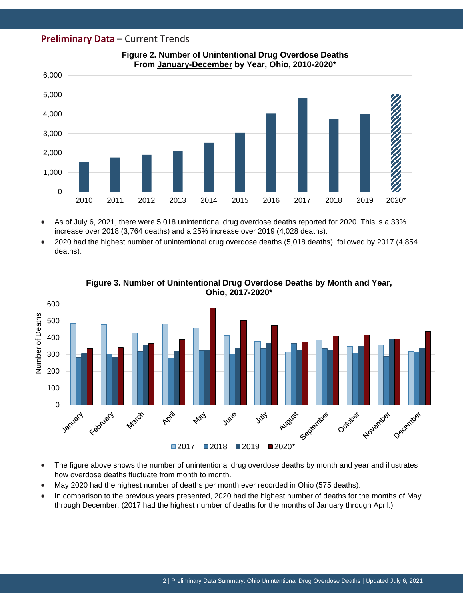## **Preliminary Data** – Current Trends



#### **Figure 2. Number of Unintentional Drug Overdose Deaths From January-December by Year, Ohio, 2010-2020\***

• As of July 6, 2021, there were 5,018 unintentional drug overdose deaths reported for 2020. This is a 33% increase over 2018 (3,764 deaths) and a 25% increase over 2019 (4,028 deaths).

• 2020 had the highest number of unintentional drug overdose deaths (5,018 deaths), followed by 2017 (4,854 deaths).



**Figure 3. Number of Unintentional Drug Overdose Deaths by Month and Year, Ohio, 2017-2020\***

- The figure above shows the number of unintentional drug overdose deaths by month and year and illustrates how overdose deaths fluctuate from month to month.
- May 2020 had the highest number of deaths per month ever recorded in Ohio (575 deaths).
- In comparison to the previous years presented, 2020 had the highest number of deaths for the months of May through December. (2017 had the highest number of deaths for the months of January through April.)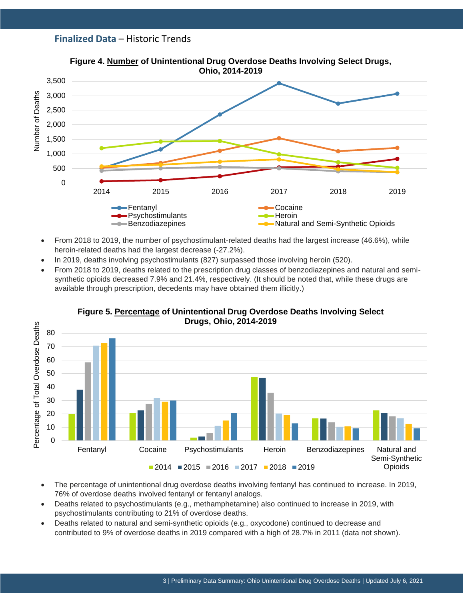# **Finalized Data** – Historic Trends



- From 2018 to 2019, the number of psychostimulant-related deaths had the largest increase (46.6%), while heroin-related deaths had the largest decrease (-27.2%).
- In 2019, deaths involving psychostimulants (827) surpassed those involving heroin (520).
- From 2018 to 2019, deaths related to the prescription drug classes of benzodiazepines and natural and semisynthetic opioids decreased 7.9% and 21.4%, respectively. (It should be noted that, while these drugs are available through prescription, decedents may have obtained them illicitly.)



# **Figure 5. Percentage of Unintentional Drug Overdose Deaths Involving Select**

- The percentage of unintentional drug overdose deaths involving fentanyl has continued to increase. In 2019, 76% of overdose deaths involved fentanyl or fentanyl analogs.
- Deaths related to psychostimulants (e.g., methamphetamine) also continued to increase in 2019, with psychostimulants contributing to 21% of overdose deaths.
- Deaths related to natural and semi-synthetic opioids (e.g., oxycodone) continued to decrease and contributed to 9% of overdose deaths in 2019 compared with a high of 28.7% in 2011 (data not shown).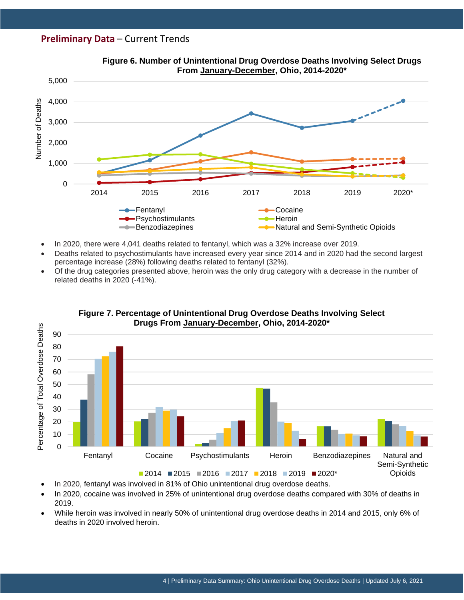# **Preliminary Data** – Current Trends



**Figure 6. Number of Unintentional Drug Overdose Deaths Involving Select Drugs** 

- In 2020, there were 4,041 deaths related to fentanyl, which was a 32% increase over 2019.
- Deaths related to psychostimulants have increased every year since 2014 and in 2020 had the second largest percentage increase (28%) following deaths related to fentanyl (32%).
- Of the drug categories presented above, heroin was the only drug category with a decrease in the number of related deaths in 2020 (-41%).



**Figure 7. Percentage of Unintentional Drug Overdose Deaths Involving Select** 

- In 2020, fentanyl was involved in 81% of Ohio unintentional drug overdose deaths.
- In 2020, cocaine was involved in 25% of unintentional drug overdose deaths compared with 30% of deaths in 2019.
- While heroin was involved in nearly 50% of unintentional drug overdose deaths in 2014 and 2015, only 6% of deaths in 2020 involved heroin.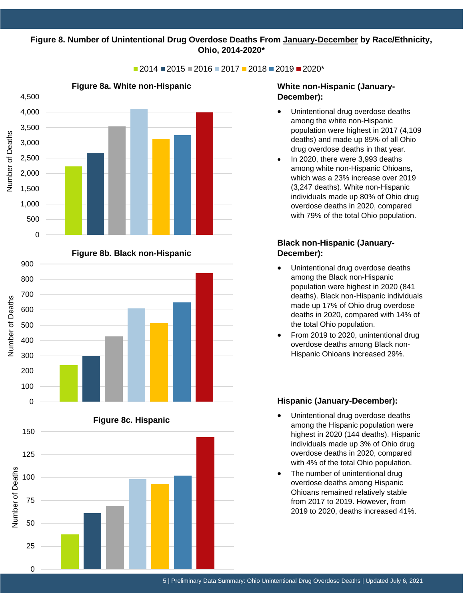### 1,750200,250 250,750 300,250 **Figure 8. Number of Unintentional Drug Overdose Deaths From January-December by Race/Ethnicity, Ohio, 2014-2020\***

2014 2015 2016 2017 2018 2019 2020\*









### **White non-Hispanic (January-December):**

- Unintentional drug overdose deaths among the white non-Hispanic population were highest in 2017 (4,109 deaths) and made up 85% of all Ohio drug overdose deaths in that year.
- In 2020, there were 3,993 deaths among white non-Hispanic Ohioans, which was a 23% increase over 2019 (3,247 deaths). White non-Hispanic individuals made up 80% of Ohio drug overdose deaths in 2020, compared with 79% of the total Ohio population.

## **Black non-Hispanic (January-December):**

- Unintentional drug overdose deaths among the Black non-Hispanic population were highest in 2020 (841 deaths). Black non-Hispanic individuals made up 17% of Ohio drug overdose deaths in 2020, compared with 14% of the total Ohio population.
- From 2019 to 2020, unintentional drug overdose deaths among Black non-Hispanic Ohioans increased 29%.

#### **Hispanic (January-December):**

- Unintentional drug overdose deaths among the Hispanic population were highest in 2020 (144 deaths). Hispanic individuals made up 3% of Ohio drug overdose deaths in 2020, compared with 4% of the total Ohio population.
- The number of unintentional drug overdose deaths among Hispanic Ohioans remained relatively stable from 2017 to 2019. However, from 2019 to 2020, deaths increased 41%.